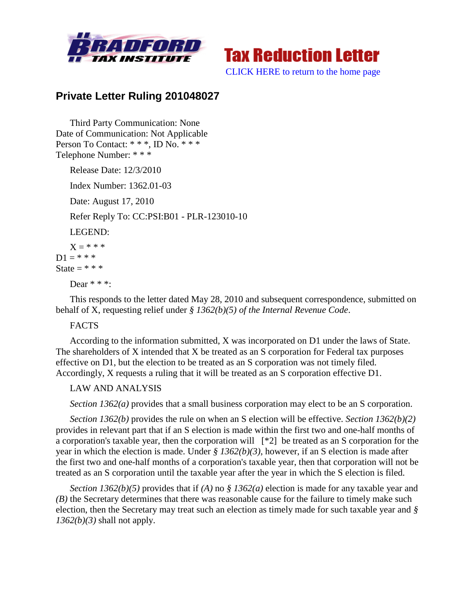



[CLICK HERE to return to the home page](http://bradfordtaxinstitute.com/index1.aspx)

## **Private Letter Ruling 201048027**

Third Party Communication: None Date of Communication: Not Applicable Person To Contact: \* \* \*, ID No. \* \* \* Telephone Number: \* \* \*

Release Date: 12/3/2010

Index Number: 1362.01-03

Date: August 17, 2010

Refer Reply To: CC:PSI:B01 - PLR-123010-10

LEGEND:

 $X = * * * *$  $D1 = * * * *$ State  $=$  \* \* \*

Dear \* \* \*:

This responds to the letter dated May 28, 2010 and subsequent correspondence, submitted on behalf of X, requesting relief under *§ 1362(b)(5) of the Internal Revenue Code*.

## **FACTS**

According to the information submitted, X was incorporated on D1 under the laws of State. The shareholders of X intended that X be treated as an S corporation for Federal tax purposes effective on D1, but the election to be treated as an S corporation was not timely filed. Accordingly, X requests a ruling that it will be treated as an S corporation effective D1.

## LAW AND ANALYSIS

*Section 1362(a)* provides that a small business corporation may elect to be an S corporation.

*Section 1362(b)* provides the rule on when an S election will be effective. *Section 1362(b)(2)* provides in relevant part that if an S election is made within the first two and one-half months of a corporation's taxable year, then the corporation will [\*2] be treated as an S corporation for the year in which the election is made. Under *§ 1362(b)(3)*, however, if an S election is made after the first two and one-half months of a corporation's taxable year, then that corporation will not be treated as an S corporation until the taxable year after the year in which the S election is filed.

*Section 1362(b)(5)* provides that if *(A)* no *§ 1362(a)* election is made for any taxable year and *(B)* the Secretary determines that there was reasonable cause for the failure to timely make such election, then the Secretary may treat such an election as timely made for such taxable year and *§ 1362(b)(3)* shall not apply.